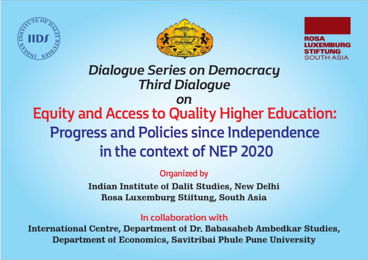





## **Dialoque Series on Democracy Third Dialogue**

## on

# **Equity and Access to Quality Higher Education: Progress and Policies since Independence** in the context of NEP 2020

### Organized by

**Indian Institute of Dalit Studies, New Delhi** Rosa Luxemburg Stiftung, South Asia

## In collaboration with

International Centre, Department of Dr. Babasaheb Ambedkar Studies, Department of Economics, Savitribai Phule Pune University